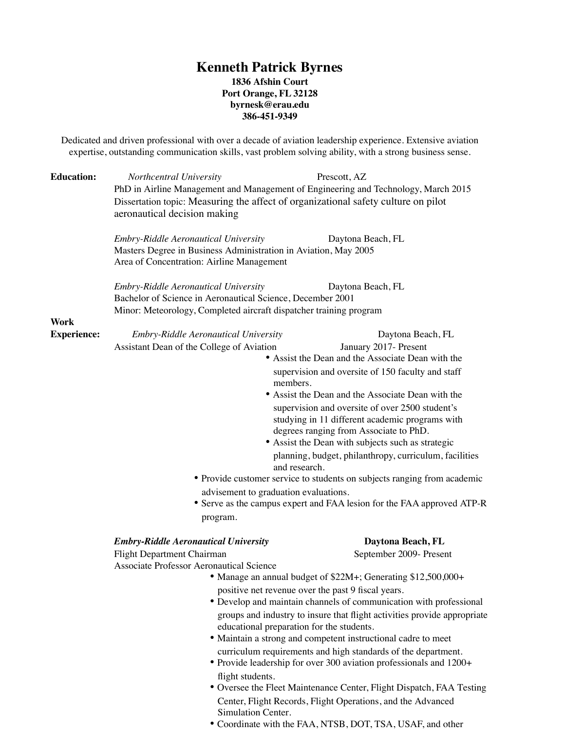### **Kenneth Patrick Byrnes 1836 Afshin Court Port Orange, FL 32128 byrnesk@erau.edu**

**386-451-9349**

Dedicated and driven professional with over a decade of aviation leadership experience. Extensive aviation expertise, outstanding communication skills, vast problem solving ability, with a strong business sense.

| <b>Education:</b>          | Northcentral University<br>PhD in Airline Management and Management of Engineering and Technology, March 2015<br>Dissertation topic: Measuring the affect of organizational safety culture on pilot<br>aeronautical decision making                                                                                                                                               | Prescott, AZ                                                                                                                                                                                                                                                                                                                                                                                                                                                                                                                                                                                                                                                         |
|----------------------------|-----------------------------------------------------------------------------------------------------------------------------------------------------------------------------------------------------------------------------------------------------------------------------------------------------------------------------------------------------------------------------------|----------------------------------------------------------------------------------------------------------------------------------------------------------------------------------------------------------------------------------------------------------------------------------------------------------------------------------------------------------------------------------------------------------------------------------------------------------------------------------------------------------------------------------------------------------------------------------------------------------------------------------------------------------------------|
|                            | Embry-Riddle Aeronautical University<br>Daytona Beach, FL<br>Masters Degree in Business Administration in Aviation, May 2005<br>Area of Concentration: Airline Management<br><b>Embry-Riddle Aeronautical University</b><br>Daytona Beach, FL<br>Bachelor of Science in Aeronautical Science, December 2001<br>Minor: Meteorology, Completed aircraft dispatcher training program |                                                                                                                                                                                                                                                                                                                                                                                                                                                                                                                                                                                                                                                                      |
|                            |                                                                                                                                                                                                                                                                                                                                                                                   |                                                                                                                                                                                                                                                                                                                                                                                                                                                                                                                                                                                                                                                                      |
| Work<br><b>Experience:</b> | Embry-Riddle Aeronautical University<br>Assistant Dean of the College of Aviation<br>members.<br>and research.<br>advisement to graduation evaluations.<br>program.                                                                                                                                                                                                               | Daytona Beach, FL<br>January 2017- Present<br>• Assist the Dean and the Associate Dean with the<br>supervision and oversite of 150 faculty and staff<br>• Assist the Dean and the Associate Dean with the<br>supervision and oversite of over 2500 student's<br>studying in 11 different academic programs with<br>degrees ranging from Associate to PhD.<br>• Assist the Dean with subjects such as strategic<br>planning, budget, philanthropy, curriculum, facilities<br>• Provide customer service to students on subjects ranging from academic<br>• Serve as the campus expert and FAA lesion for the FAA approved ATP-R                                       |
|                            | <b>Embry-Riddle Aeronautical University</b><br>Flight Department Chairman<br><b>Associate Professor Aeronautical Science</b><br>educational preparation for the students.<br>flight students.<br>Simulation Center.                                                                                                                                                               | Daytona Beach, FL<br>September 2009- Present<br>• Manage an annual budget of \$22M+; Generating \$12,500,000+<br>positive net revenue over the past 9 fiscal years.<br>• Develop and maintain channels of communication with professional<br>groups and industry to insure that flight activities provide appropriate<br>• Maintain a strong and competent instructional cadre to meet<br>curriculum requirements and high standards of the department.<br>• Provide leadership for over 300 aviation professionals and 1200+<br>• Oversee the Fleet Maintenance Center, Flight Dispatch, FAA Testing<br>Center, Flight Records, Flight Operations, and the Advanced |

• Coordinate with the FAA, NTSB, DOT, TSA, USAF, and other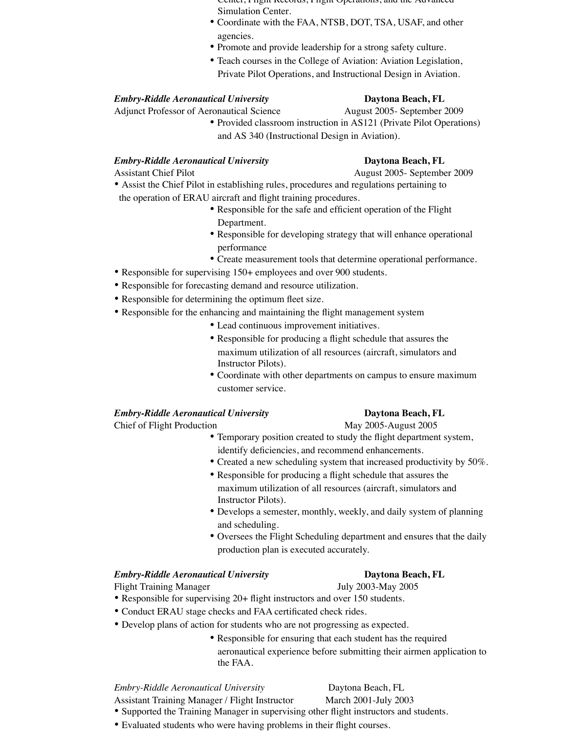- Center, Flight Records, Flight Operations, and the Advanced Simulation Center.
- Coordinate with the FAA, NTSB, DOT, TSA, USAF, and other agencies.
- Promote and provide leadership for a strong safety culture.
- Teach courses in the College of Aviation: Aviation Legislation, Private Pilot Operations, and Instructional Design in Aviation.

### *Embry-Riddle Aeronautical University* **Daytona Beach, FL**

Adjunct Professor of Aeronautical Science August 2005- September 2009

• Provided classroom instruction in AS121 (Private Pilot Operations) and AS 340 (Instructional Design in Aviation).

### *Embry-Riddle Aeronautical University* **Daytona Beach, FL**

Assistant Chief Pilot August 2005- September 2009

• Assist the Chief Pilot in establishing rules, procedures and regulations pertaining to

- the operation of ERAU aircraft and flight training procedures.
	- Responsible for the safe and efficient operation of the Flight Department.
	- Responsible for developing strategy that will enhance operational performance
	- Create measurement tools that determine operational performance.
- Responsible for supervising 150+ employees and over 900 students.
- Responsible for forecasting demand and resource utilization.
- Responsible for determining the optimum fleet size.
- Responsible for the enhancing and maintaining the flight management system
	- Lead continuous improvement initiatives.
	- Responsible for producing a flight schedule that assures the maximum utilization of all resources (aircraft, simulators and Instructor Pilots).
	- Coordinate with other departments on campus to ensure maximum customer service.

### *Embry-Riddle Aeronautical University* **Daytona Beach, FL**

Chief of Flight Production May 2005-August 2005

- Temporary position created to study the flight department system, identify deficiencies, and recommend enhancements.
- Created a new scheduling system that increased productivity by 50%.
- Responsible for producing a flight schedule that assures the maximum utilization of all resources (aircraft, simulators and Instructor Pilots).
- Develops a semester, monthly, weekly, and daily system of planning and scheduling.
- Oversees the Flight Scheduling department and ensures that the daily production plan is executed accurately.

### *Embry-Riddle Aeronautical University* **Daytona Beach, FL**

Flight Training Manager July 2003-May 2005

- Responsible for supervising 20+ flight instructors and over 150 students.
- Conduct ERAU stage checks and FAA certificated check rides.
- Develop plans of action for students who are not progressing as expected.
	- Responsible for ensuring that each student has the required aeronautical experience before submitting their airmen application to the FAA.

*Embry-Riddle Aeronautical University* Daytona Beach, FL

- Assistant Training Manager / Flight Instructor March 2001-July 2003
- Supported the Training Manager in supervising other flight instructors and students.
- Evaluated students who were having problems in their flight courses.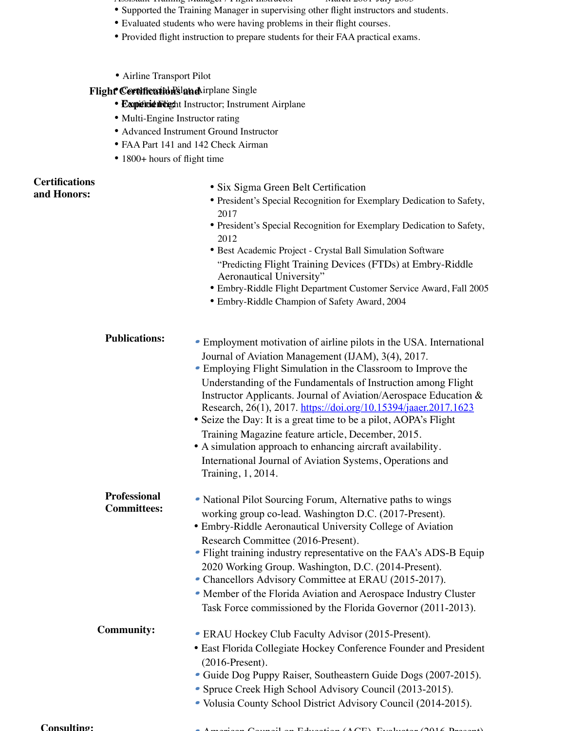- Assistant Training Manager / Flight Instructor March 2001-July 2003
- Supported the Training Manager in supervising other flight instructors and students.
- Evaluated students who were having problems in their flight courses.
- Provided flight instruction to prepare students for their FAA practical exams.
- Airline Transport Pilot

### **Flight Certifications and irplane Single**

- **Expérience Flight Instructor; Instrument Airplane**
- Multi-Engine Instructor rating
- Advanced Instrument Ground Instructor
- FAA Part 141 and 142 Check Airman
- 1800+ hours of flight time

## **Certifications**

**and Honors:**

- Six Sigma Green Belt Certification
- President's Special Recognition for Exemplary Dedication to Safety, 2017
- President's Special Recognition for Exemplary Dedication to Safety, 2012
- Best Academic Project Crystal Ball Simulation Software "Predicting Flight Training Devices (FTDs) at Embry-Riddle Aeronautical University"
- Embry-Riddle Flight Department Customer Service Award, Fall 2005
- Embry-Riddle Champion of Safety Award, 2004
- Employment motivation of airline pilots in the USA. International Journal of Aviation Management (IJAM), 3(4), 2017. **Publications:**
	- Employing Flight Simulation in the Classroom to Improve the Understanding of the Fundamentals of Instruction among Flight Instructor Applicants. Journal of Aviation/Aerospace Education & Research, 26(1), 2017. https://doi.org/10.15394/jaaer.2017.1623
	- Seize the Day: It is a great time to be a pilot, AOPA's Flight Training Magazine feature article, December, 2015.
	- A simulation approach to enhancing aircraft availability. International Journal of Aviation Systems, Operations and Training, 1, 2014.
- National Pilot Sourcing Forum, Alternative paths to wings working group co-lead. Washington D.C. (2017-Present). **Professional Committees:**
	- Embry-Riddle Aeronautical University College of Aviation Research Committee (2016-Present).
	- Flight training industry representative on the FAA's ADS-B Equip 2020 Working Group. Washington, D.C. (2014-Present).
	- Chancellors Advisory Committee at ERAU (2015-2017).
	- Member of the Florida Aviation and Aerospace Industry Cluster Task Force commissioned by the Florida Governor (2011-2013).
- ERAU Hockey Club Faculty Advisor (2015-Present). **Community:**
	- East Florida Collegiate Hockey Conference Founder and President (2016-Present).
	- Guide Dog Puppy Raiser, Southeastern Guide Dogs (2007-2015).
	- • Spruce Creek High School Advisory Council (2013-2015).
	- • Volusia County School District Advisory Council (2014-2015).

**Consulting:**

 $\mathcal{C}_{\mathcal{P}}$  and  $\mathcal{P}_{\mathcal{P}}$  and  $\mathcal{P}_{\mathcal{P}}$  (ACE), Evaluation (2016-Present).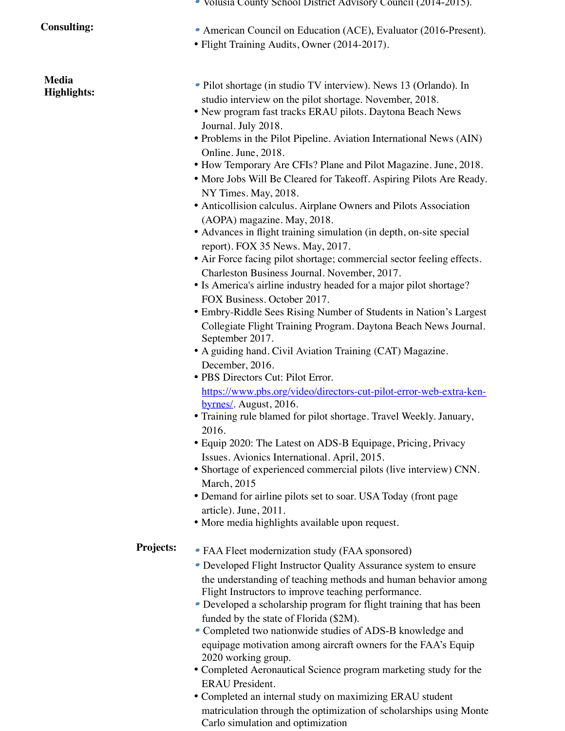### **Consulting:**

**Media Highlights:**

- • Volusia County School District Advisory Council (2014-2015).
- American Council on Education (ACE), Evaluator (2016-Present).
- Flight Training Audits, Owner (2014-2017).
- Pilot shortage (in studio TV interview). News 13 (Orlando). In studio interview on the pilot shortage. November, 2018.
- New program fast tracks ERAU pilots. Daytona Beach News Journal. July 2018.
- Problems in the Pilot Pipeline. Aviation International News (AIN) Online. June, 2018.
- How Temporary Are CFIs? Plane and Pilot Magazine. June, 2018.
- More Jobs Will Be Cleared for Takeoff. Aspiring Pilots Are Ready. NY Times. May, 2018.
- Anticollision calculus. Airplane Owners and Pilots Association (AOPA) magazine. May, 2018.
- Advances in flight training simulation (in depth, on-site special report). FOX 35 News. May, 2017.
- Air Force facing pilot shortage; commercial sector feeling effects. Charleston Business Journal. November, 2017.
- Is America's airline industry headed for a major pilot shortage? FOX Business. October 2017.
- Embry-Riddle Sees Rising Number of Students in Nation's Largest Collegiate Flight Training Program. Daytona Beach News Journal. September 2017.
- A guiding hand. Civil Aviation Training (CAT) Magazine. December, 2016.
- PBS Directors Cut: Pilot Error. https://www.pbs.org/video/directors-cut-pilot-error-web-extra-kenbyrnes/. August, 2016.
- Training rule blamed for pilot shortage. Travel Weekly. January, 2016.
- Equip 2020: The Latest on ADS-B Equipage, Pricing, Privacy Issues. Avionics International. April, 2015.
- Shortage of experienced commercial pilots (live interview) CNN. March, 2015
- Demand for airline pilots set to soar. USA Today (front page article). June, 2011.
- More media highlights available upon request.

### • FAA Fleet modernization study (FAA sponsored) **Projects:**

- Developed Flight Instructor Quality Assurance system to ensure the understanding of teaching methods and human behavior among Flight Instructors to improve teaching performance.
- Developed a scholarship program for flight training that has been funded by the state of Florida (\$2M).
- • Completed two nationwide studies of ADS-B knowledge and equipage motivation among aircraft owners for the FAA's Equip 2020 working group.
- Completed Aeronautical Science program marketing study for the ERAU President.
- Completed an internal study on maximizing ERAU student matriculation through the optimization of scholarships using Monte Carlo simulation and optimization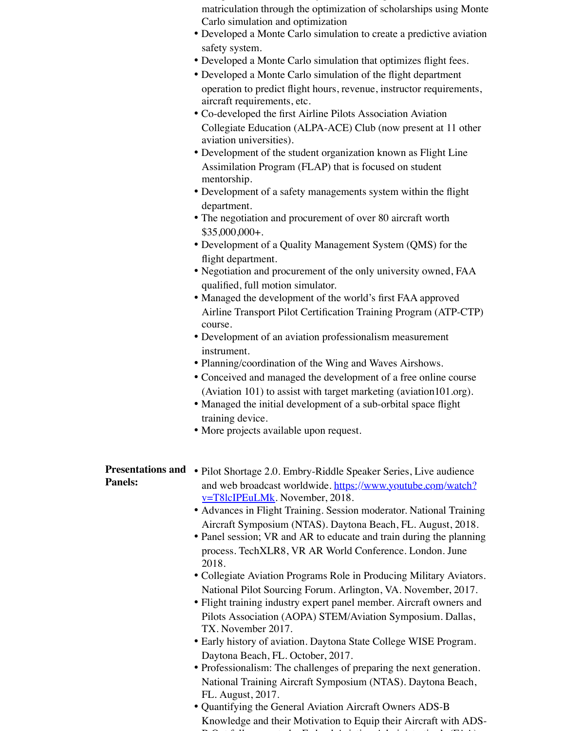- Completed an internal study on maximizing ERAU student matriculation through the optimization of scholarships using Monte Carlo simulation and optimization
- Developed a Monte Carlo simulation to create a predictive aviation safety system.
- Developed a Monte Carlo simulation that optimizes flight fees.
- Developed a Monte Carlo simulation of the flight department operation to predict flight hours, revenue, instructor requirements, aircraft requirements, etc.
- Co-developed the first Airline Pilots Association Aviation Collegiate Education (ALPA-ACE) Club (now present at 11 other aviation universities).
- Development of the student organization known as Flight Line Assimilation Program (FLAP) that is focused on student mentorship.
- Development of a safety managements system within the flight department.
- The negotiation and procurement of over 80 aircraft worth \$35,000,000+.
- Development of a Quality Management System (QMS) for the flight department.
- Negotiation and procurement of the only university owned, FAA qualified, full motion simulator.
- Managed the development of the world's first FAA approved Airline Transport Pilot Certification Training Program (ATP-CTP) course.
- Development of an aviation professionalism measurement instrument.
- Planning/coordination of the Wing and Waves Airshows.
- Conceived and managed the development of a free online course (Aviation 101) to assist with target marketing (aviation101.org).
- Managed the initial development of a sub-orbital space flight training device.
- More projects available upon request.

# **Panels:**

- Presentations and Pilot Shortage 2.0. Embry-Riddle Speaker Series, Live audience and web broadcast worldwide. https://www.youtube.com/watch? v=T8lcIPEuLMk. November, 2018.
	- Advances in Flight Training. Session moderator. National Training Aircraft Symposium (NTAS). Daytona Beach, FL. August, 2018.
	- Panel session; VR and AR to educate and train during the planning process. TechXLR8, VR AR World Conference. London. June 2018.
	- Collegiate Aviation Programs Role in Producing Military Aviators. National Pilot Sourcing Forum. Arlington, VA. November, 2017.
	- Flight training industry expert panel member. Aircraft owners and Pilots Association (AOPA) STEM/Aviation Symposium. Dallas, TX. November 2017.
	- Early history of aviation. Daytona State College WISE Program. Daytona Beach, FL. October, 2017.
	- Professionalism: The challenges of preparing the next generation. National Training Aircraft Symposium (NTAS). Daytona Beach, FL. August, 2017.
	- Quantifying the General Aviation Aircraft Owners ADS-B Knowledge and their Motivation to Equip their Aircraft with ADS-B Out follow on study. Federal Aviation Administration's (FAA)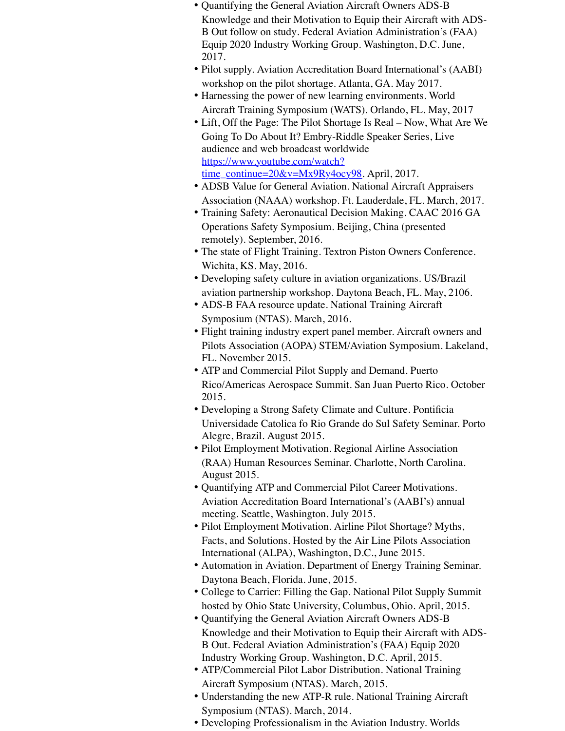- Quantifying the General Aviation Aircraft Owners ADS-B Knowledge and their Motivation to Equip their Aircraft with ADS-B Out follow on study. Federal Aviation Administration's (FAA) Equip 2020 Industry Working Group. Washington, D.C. June, 2017.
- Pilot supply. Aviation Accreditation Board International's (AABI) workshop on the pilot shortage. Atlanta, GA. May 2017.
- Harnessing the power of new learning environments. World Aircraft Training Symposium (WATS). Orlando, FL. May, 2017
- Lift, Off the Page: The Pilot Shortage Is Real Now, What Are We Going To Do About It? Embry-Riddle Speaker Series, Live audience and web broadcast worldwide https://www.youtube.com/watch? time\_continue= $20&x=Mx9Ry4ocy98$ . April, 2017.
- ADSB Value for General Aviation. National Aircraft Appraisers Association (NAAA) workshop. Ft. Lauderdale, FL. March, 2017.
- Training Safety: Aeronautical Decision Making. CAAC 2016 GA Operations Safety Symposium. Beijing, China (presented remotely). September, 2016.
- The state of Flight Training. Textron Piston Owners Conference. Wichita, KS. May, 2016.
- Developing safety culture in aviation organizations. US/Brazil aviation partnership workshop. Daytona Beach, FL. May, 2106.
- ADS-B FAA resource update. National Training Aircraft Symposium (NTAS). March, 2016.
- Flight training industry expert panel member. Aircraft owners and Pilots Association (AOPA) STEM/Aviation Symposium. Lakeland, FL. November 2015.
- ATP and Commercial Pilot Supply and Demand. Puerto Rico/Americas Aerospace Summit. San Juan Puerto Rico. October 2015.
- Developing a Strong Safety Climate and Culture. Pontificia Universidade Catolica fo Rio Grande do Sul Safety Seminar. Porto Alegre, Brazil. August 2015.
- Pilot Employment Motivation. Regional Airline Association (RAA) Human Resources Seminar. Charlotte, North Carolina. August 2015.
- Quantifying ATP and Commercial Pilot Career Motivations. Aviation Accreditation Board International's (AABI's) annual meeting. Seattle, Washington. July 2015.
- Pilot Employment Motivation. Airline Pilot Shortage? Myths, Facts, and Solutions. Hosted by the Air Line Pilots Association International (ALPA), Washington, D.C., June 2015.
- Automation in Aviation. Department of Energy Training Seminar. Daytona Beach, Florida. June, 2015.
- College to Carrier: Filling the Gap. National Pilot Supply Summit hosted by Ohio State University, Columbus, Ohio. April, 2015.
- Quantifying the General Aviation Aircraft Owners ADS-B Knowledge and their Motivation to Equip their Aircraft with ADS-B Out. Federal Aviation Administration's (FAA) Equip 2020 Industry Working Group. Washington, D.C. April, 2015.
- ATP/Commercial Pilot Labor Distribution. National Training Aircraft Symposium (NTAS). March, 2015.
- Understanding the new ATP-R rule. National Training Aircraft Symposium (NTAS). March, 2014.
- Developing Professionalism in the Aviation Industry. Worlds